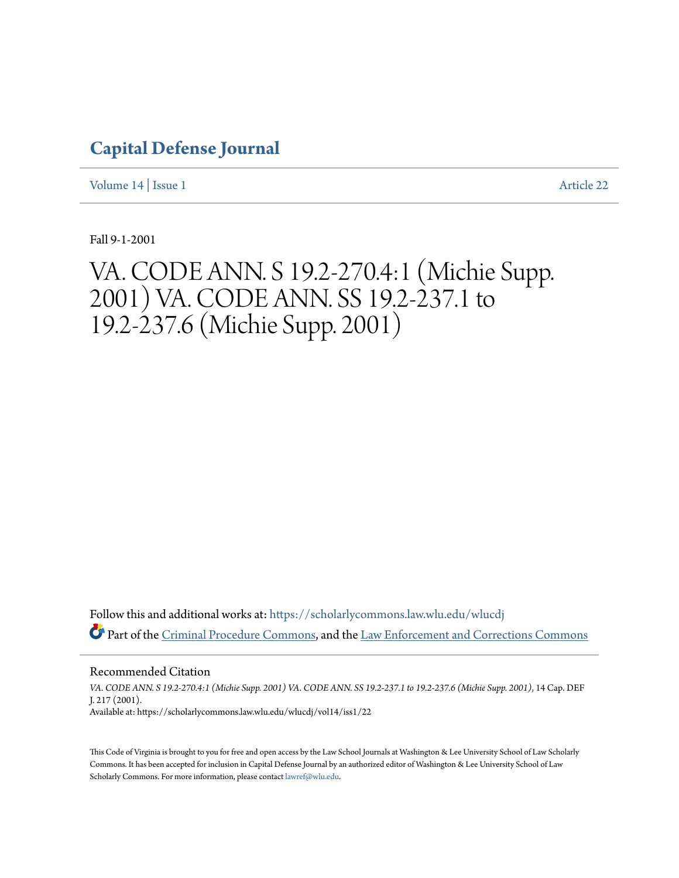## **[Capital Defense Journal](https://scholarlycommons.law.wlu.edu/wlucdj?utm_source=scholarlycommons.law.wlu.edu%2Fwlucdj%2Fvol14%2Fiss1%2F22&utm_medium=PDF&utm_campaign=PDFCoverPages)**

[Volume 14](https://scholarlycommons.law.wlu.edu/wlucdj/vol14?utm_source=scholarlycommons.law.wlu.edu%2Fwlucdj%2Fvol14%2Fiss1%2F22&utm_medium=PDF&utm_campaign=PDFCoverPages) | [Issue 1](https://scholarlycommons.law.wlu.edu/wlucdj/vol14/iss1?utm_source=scholarlycommons.law.wlu.edu%2Fwlucdj%2Fvol14%2Fiss1%2F22&utm_medium=PDF&utm_campaign=PDFCoverPages) [Article 22](https://scholarlycommons.law.wlu.edu/wlucdj/vol14/iss1/22?utm_source=scholarlycommons.law.wlu.edu%2Fwlucdj%2Fvol14%2Fiss1%2F22&utm_medium=PDF&utm_campaign=PDFCoverPages)

Fall 9-1-2001

# VA. CODE ANN. S 19.2-270.4:1 (Michie Supp. 2001) VA. CODE ANN. SS 19.2-237.1 to 19.2-237.6 (Michie Supp. 2001)

Follow this and additional works at: [https://scholarlycommons.law.wlu.edu/wlucdj](https://scholarlycommons.law.wlu.edu/wlucdj?utm_source=scholarlycommons.law.wlu.edu%2Fwlucdj%2Fvol14%2Fiss1%2F22&utm_medium=PDF&utm_campaign=PDFCoverPages) Part of the [Criminal Procedure Commons,](http://network.bepress.com/hgg/discipline/1073?utm_source=scholarlycommons.law.wlu.edu%2Fwlucdj%2Fvol14%2Fiss1%2F22&utm_medium=PDF&utm_campaign=PDFCoverPages) and the [Law Enforcement and Corrections Commons](http://network.bepress.com/hgg/discipline/854?utm_source=scholarlycommons.law.wlu.edu%2Fwlucdj%2Fvol14%2Fiss1%2F22&utm_medium=PDF&utm_campaign=PDFCoverPages)

Recommended Citation *VA. CODE ANN. S 19.2-270.4:1 (Michie Supp. 2001) VA. CODE ANN. SS 19.2-237.1 to 19.2-237.6 (Michie Supp. 2001)*, 14 Cap. DEF J. 217 (2001). Available at: https://scholarlycommons.law.wlu.edu/wlucdj/vol14/iss1/22

This Code of Virginia is brought to you for free and open access by the Law School Journals at Washington & Lee University School of Law Scholarly Commons. It has been accepted for inclusion in Capital Defense Journal by an authorized editor of Washington & Lee University School of Law Scholarly Commons. For more information, please contact [lawref@wlu.edu.](mailto:lawref@wlu.edu)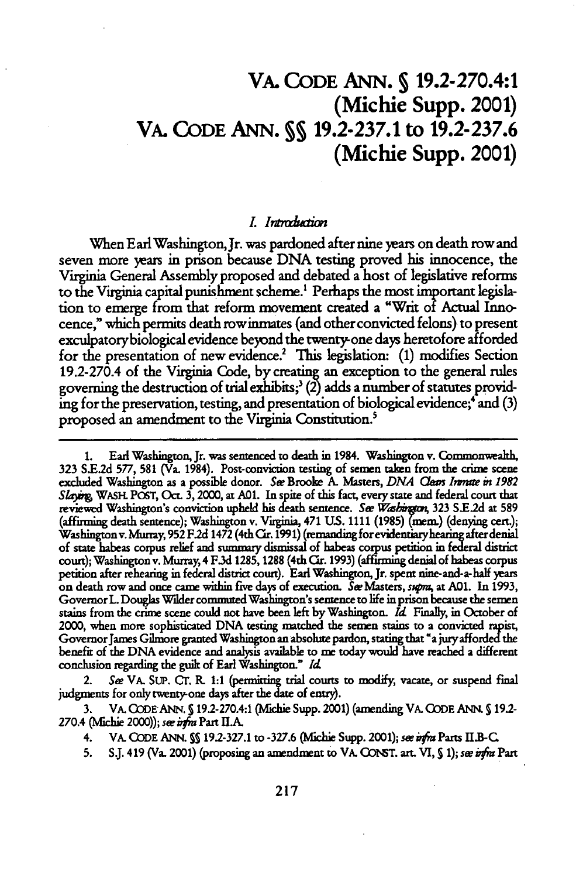### VA. **CODE ANN. S** 19.2-270.4:1 (Michie Supp. 2001) VA. **CODE ANN. SS 19.2-237.1** to **19.2-237.6** (Michie Supp. 2001)

#### **I.I** *iixn*

When Earl Washington, Jr. was pardoned after nine years on death row and seven more years in prison because **DNA** testing proved his innocence, the Virginia General Assembly proposed and debated a host of legislative reforms to the Virginia capital punishment scheme.' Perhaps the most important legishation to emerge from that reform movement created a "Writ of Actual Innocence," which permits death row inmates (and other convicted felons) to present exculpatorybiological evidence beyond the twentyone days heretofore afforded for the presentation of new evidence.2 This legislation: **(1)** modifies Section 19.2-270.4 of the Virginia Code, by creating an exception to the general rules governing the destruction of trial exhibits;<sup>3</sup> (2) adds a number of statutes providing for the preservation, testing, and presentation of biological evidence;<sup>4</sup> and (3) proposed an amendment to the Virginia Constitution.'

**<sup>1.</sup>** Earl Washington, Jr. was sentenced to death in 1984. Washington v. Commonvealth, 323 **S.E.2d 577, 581** (Va. 1984). Post-conviction testing of semen taken from the crime scene excluded Washington as a possible donor. *Se* Brooke **A.** Masters, *DNA Cam Iwmrte in 1982* Slaying, WASH POST, Oct. 3, 2000, at A01. In spite of this fact, every state and federal court that reviewed Washington's conviction upheld his death sentence. See Washington, 323 S.E.2d at 589 (affrming death sentence); Washington v. Vi ginia, 471 **US.** 1111 **(1985)** (mem.) (denying cert.); Washingtonv. Murray, **952 F2d** 1472 (4th *Cr.* **1991) (remanding** forevidentaryhearing afterdenial of state habeas corpus relief and summary dismissal **of** habeas corpus petition in federal district court); Washington v. **Murray,** 4 **F3d 1285,1288** (4th Or. **1993)** (affirming denial of habeas corpus petition after rehearing in federal district court). Earl Washington, Jr. spent nine-and-a-half years **on** death row and once came within five days of execution. SeeMasters, supra, at **A0l.** In **1993,** Governor L Douglas Wilder commuted Washington's sentence to life in prison because the semen stains from the crime scene could not have been left **by** Washington. *Id* Finally, in October of 2000, when more sophisticated **DNA** testing matched the semen stains **to** a convicted rapist, GovernorJames Gilmore granted Washington an absolute pardon, stating that 'a **juryafforded** the benefit of the **DNA** evidence and anaysis available to me today would have reached a different conclusion regarding the guilt of Earl Washington." *Id*

<sup>2.</sup> *Se* VA. Sup. Cr. **R. 1:1 (permittng** trial courts to modify, vacate, or suspend **final** judgments for only twenty-one days after the date of entry).

**<sup>3.</sup>** VA. **CODEANN. S** 19.-270.4:1 (Michie Supp. 2001) (amending VA. **CODE ANN. S 19.2-** 270.4 (Michie 2000)); *see infra* Part **II**.A.

<sup>4.</sup> VA. **ODDE ANN. SS** 192-327.1 to **-327.6** (Michie Supp. 2001); *see* irfm Parts **I.B-C**

**<sup>5.</sup> S.J.** 419 (Va. 2001) (proposing an amendment to VA. **GO1T. art. VI,** 5 **1);** *see* i a Part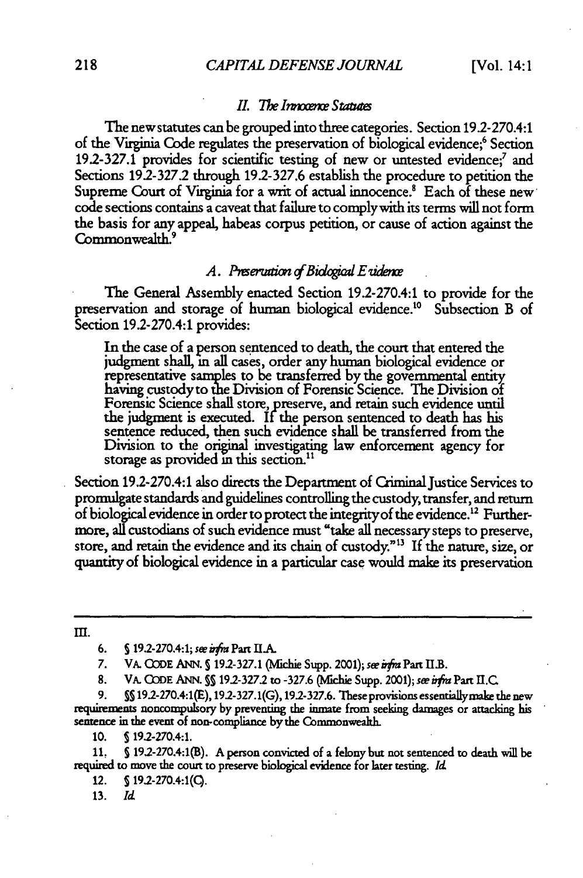#### *II.* The Innocence Statutes

The new statutes can be grouped into three categories. Section 19.2-270.4:1 of the Virginia Code regulates the preservation of biological evidence;<sup>6</sup> Section 19.2-327.1 provides for scientific testing of new or untested evidence;' and Sections 19.2-327.2 through 192-327.6 establish the procedure to petition the Supreme Court of Virginia for a writ of actual innocence.<sup>8</sup> Each of these new code sections contains a caveat that failure to complywith its terms will not form the basis for any appeal, habeas corpus petition, or cause of action against the Commonwealth.<sup>9</sup>

#### A. Preservation of Biological E vidence

The General Assembly enacted Section 19.2-270.4:1 to provide for the preservation and storage of human biological evidence.<sup>10</sup> Subsection B of Section 19.2-270.4:1 provides:

In the case of a person sentenced to death, the court that entered the judgment shall, in all cases, order any human biological evidence or representative samples to be transferred by the governmental entity having custodyto the Division of Forensic Science. The Division **of** Forensic Science shall store, preserve, and retain such evidence until the judgment is executed. If the person sentenced to death has his sentence reduced, then such evidence shall be transferred from the Division to the original investigating law enforcement agency for storage as provided in this section.<sup>11</sup>

Section 19.2-270.4:1 also directs the Department of Criminal Justice Services to promulgate standards and guidelines controlling the custody, transfer, and return of biological evidence in order to protect the integrity of the evidence.<sup>12</sup> Furthermore, all custodians of such evidence must "take all necessary steps to preserve, store, and retain the evidence and its chain of custody."3 If the nature, size, or quantity of biological evidence in a particular case would make its preservation

 $III.$ 

7. VA. CODE ANN. § 19.2-327.1 (Michie Supp. 2001); see irfra Part II.B.

8. VA. **ODE** ANN. **SS 19.2-327.2** to **-327.6** (Michie Supp. 2001); se infr Part **I.C**

**9. SS** 19.2-270.4:1(E), 19.2-327.1(G), 19.2-327.6. These provisions essentiallymake the new requirements noncompulsory **by** preventing the inmate from seeking damages or attacking his sentence in the event of non-compliance by the Commonwealth.

10. **S** 192-270.4:1.

**11,** §192-270.4:1(B). A person convicted of a felony but not sentenced to death will **be** required to move the court to preserve biological evidence for later testing. *Id*

12. **S 192-270.4:1(C).**

**13.** *Id*

<sup>6.</sup> *5* 19.2-270.4:1; **see** irfr Part **H1A**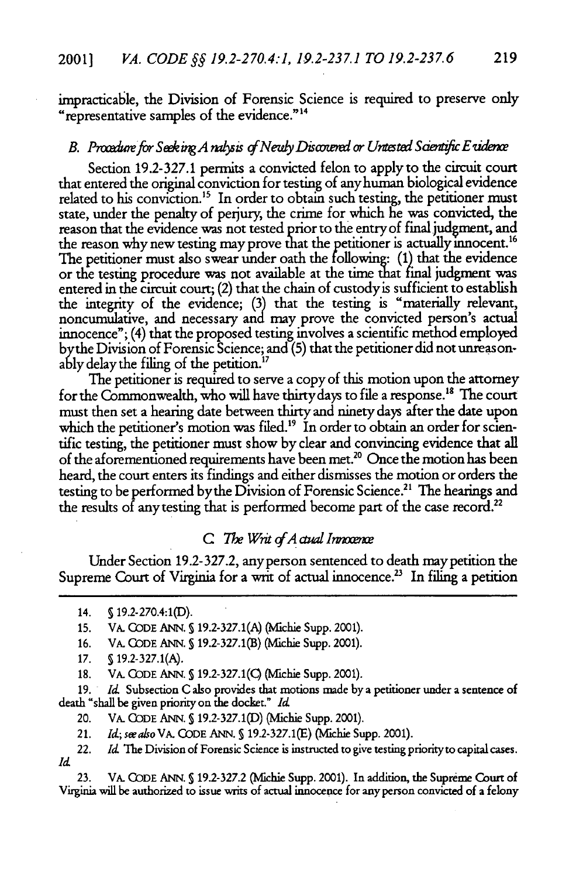impracticable, the Division of Forensic Science is required to preserve only "representative samples of the evidence." <sup>4</sup>

#### *B. Procedure for Seeking A nalysis of Newly Discovered or Untested Scientific E vidence*

Section 19.2-327.1 permits a convicted felon to apply to the circuit court that entered the original conviction for testing of any human biological evidence related to his conviction.<sup>15</sup> In order to obtain such testing, the petitioner must state, under the penalty of perjury, the crime for which he was convicted, the reason that the evidence was not tested prior to the entry of final judgment, and the reason why new testing may prove that the petitioner is actually innocent.<sup>16</sup> The petitioner must also swear under oath the following: **(1)** that the evidence or the testing procedure was not available at the time that final judgment was entered in the circuit court; (2) that the chain of custody is sufficient to establish the integrity of the evidence; (3) that the testing is "materially relevant, noncumulative, and necessary and may prove the convicted person's actual innocence"; (4) that the proposed testing involves a scientific method employed bythe Division of Forensic Science; and (5) that the petitioner did not unreasonably delay the filing of the petition.<sup>17</sup>

The petitioner is required to serve a copy of this motion upon the attorney for the Commonwealth, who will have thirty days to file a response.<sup>18</sup> The court must then set a hearing date between thirty and ninety days after the date upon which the petitioner's motion was filed.<sup>19</sup> In order to obtain an order for scientific testing, the petitioner must show by clear and convincing evidence that all of the aforementioned requirements have been met.<sup>20</sup> Once the motion has been heard, the court enters its findings and either dismisses the motion or orders the testing to be performed by the Division of Forensic Science.<sup>21</sup> The hearings and the results of any testing that is performed become part of the case record.<sup>22</sup>

#### **C** *The Writ of A ctual Innocence*

Under Section 192-327.2, anyperson sentenced to death maypetition the Supreme Court of Virginia for a writ of actual innocence.<sup>23</sup> In filing a petition

20. VA. CODE ANN. **S 19.2-327.1(D) (Michie** Supp. 2001).

21. *d; sealso* VA. CODE ANN. **§** 19.2-327.1(E) (Michie Supp. 2001).

22. *Id* The Division of Forensic Science is instructed to give testing priorityto capital cases. *Id*

23. VA. CODE ANN. **S** 19.2-327.2 (Mlchie Supp. 2001). In addition, the Supreme Court of Virginia will be authorized to issue wits of actual innocence for any person convicted of a felony

<sup>14.</sup> **S** 19.2-270.4:1(D).

<sup>15.</sup> VA. CODE ANN. **5** 19.2-327.1(A) (Michie Supp. 2001).

<sup>16.</sup> VA. CODE ANN. **S** 19.2-327.1(B) (Michie Supp. 2001).

**<sup>17. §</sup>** 19.2-327.1(A).

<sup>18.</sup> VA. CODE ANN. § 19.2-327.1(C) (Michie Supp. 2001).

<sup>19.</sup> *Id.* Subsection C also provides that motions made by a petitioner under a sentence of death "shall be given priority on the docket." *Id*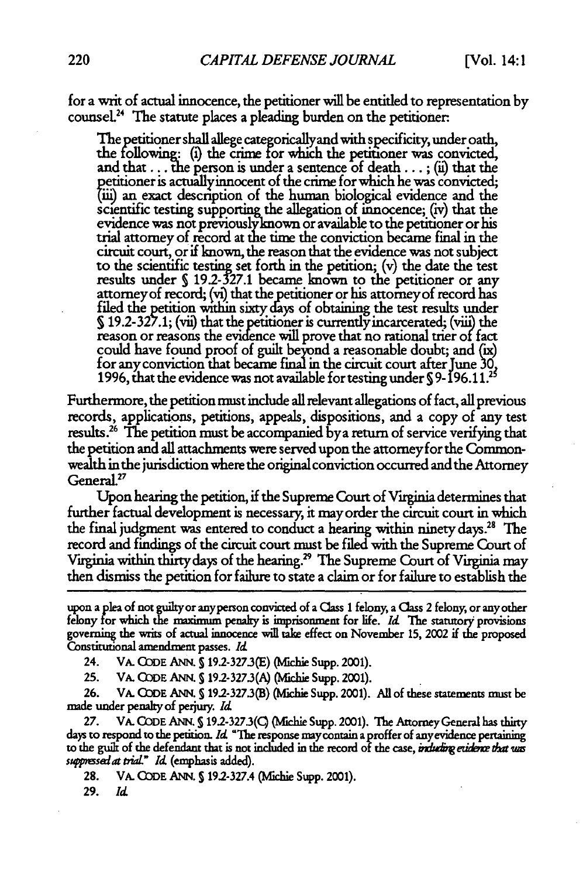for a writ of actual innocence, the petitioner will be entitled to representation by counsel.<sup>24</sup> The statute places a pleading burden on the petitioner:

The petitioner shall allege categoricallyand with specificity, under oath, the following: (i) the crime **for** which the petitioner was convicted, and that ... the person is under a sentence of death ... **;** (ii) that the petitioner is actually innocent of the crime for which he was convicted; 'fii) **an** exact description of the human biological evidence and the scientific testing supporting the allegation of innocence; (iv) that the evidence was not previously known or available to the petitioner or his trial attorney of record at the time the conviction became final in the circuit court, or if known, the reason that the evidence was not subject to the scientific testing set forth in the petition; (v) the date the test results under § 19.2-327.1 became known to the petitioner or any attorney of record; (vi) that the petitioner or his attorney of record has attorney of record; (vi) that the petitioner or his attorney of record has<br>filed the petition within sixty days of obtaining the test results under 519.2-327.1; (vii) that the petitioner is currendy incarcerated; (viii) the reason or reasons the evidence will prove that no rational trier **of** fact could have found proof of guilt beyond a reasonable doubt; and (ix) for any conviction that became fina in the circuit court after June **30, 1996,** that the evidence was not available fortesting under **S 9- 196.1 1.2**

Furthermore, the petition must include all relevant allegations of fact, all previous records, applications, petitions, appeals, dispositions, and a copy of any test results.26 The petition must be accompanied bya return of service verifying that the petition and all attachments were served upon the attorney for the Commonwealth in the jurisdiction where the original conviction occurred and the Attorney 7 General.<sup>27</sup>

Upon hearing the petition, if the Supreme Court of Virginia determines that further factual development is necessary, it may order the circuit court in which the final judgment was entered to conduct a hearing within ninety days.<sup>28</sup> The record and findings of the circuit court must be filed with the Supreme Court of Virginia within thirty days of the hearing.<sup>29</sup> The Supreme Court of Virginia may then dismiss the petition for failure to state a claim or for failure to establish the

upon a plea of not guilty or anyperson convicted of a Class 1 felony, a Class 2 felony, or any other felony for which the maximum penalty is imprisonment for life. *Id.* The statutory provisions governing the **writs** of actual innocence will take effect on November **15,** 2002 if the proposed Constitutional amendment passes. *Id*

24. VA. Q)DE ANN. S19.2-327.3(E) (Michie Supp. 2001).

**25.** VA. **OQDE** ANN. **5** 192-3273(A) (Mlchie Supp. 2001).

**26.** VA. G)DE ANN. **S** 19.2-327.3(B) (Mlchie Supp. 2001). All of these statements must be made under penalty of perjury. *Id*

**27.** VA. **CODE** ANN. **S192-327.3(C)** (ichie Supp. 2001). The Attorney General has thirty days to respond to the petition. *Id* "The response maycontain a **proffer of** anyevidence pertaining to the guilt of the defendant that is not included in the record of the case, *induding eudence that was stpsiat t.iaL" Id* (emphasis added).

28. VA. CODE ANN. § 19.2-327.4 (Michie Supp. 2001).

**29.** *Id*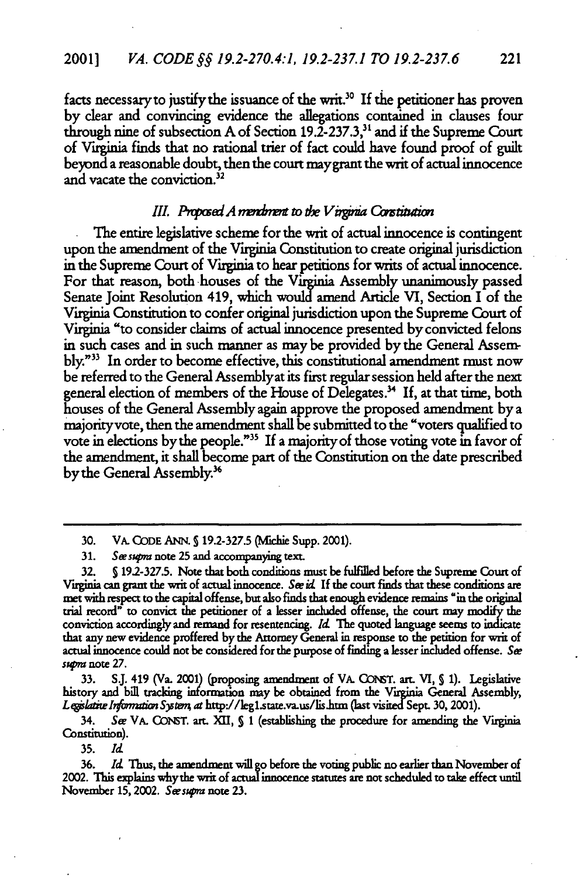facts necessary to justify the issuance of the writ.<sup>30</sup> If the petitioner has proven by dear and convincing evidence the allegations contained in clauses four through nine of subsection A of Section 19.2-237.3,<sup>31</sup> and if the Supreme Court of Virginia finds that no rational trier of fact could have found proof of guilt beyond a reasonable doubt, then the court maygrant the writ of actual innocence and vacate the conviction.<sup>32</sup>

#### III. Proposed A mentiment to the Virginia Constitution

The entire legislative scheme for the writ of actual innocence is contingent upon the amendment of the Virginia Constitution to create original jurisdiction in the Supreme Court of Virginia to hear petitions for writs of actual innocence. For that reason, both houses **of** the Virginia Assembly unanimously passed Senate Joint Resolution 419, which would amend Article VI, Section I of the Virginia Constitution to confer original jurisdiction upon the Supreme Court of Virginia "to consider claims of actual innocence presented by convicted felons in such cases and in such manner as maybe provided by the General Assembly."<sup>33</sup> In order to become effective, this constitutional amendment must now be referred to the General Assemblyat its first regular session held after the next general election of members of the House of Delegates? **If,** at that time, both houses of the General Assembly again approve the proposed amendment by a majorityvote, then the amendment shall be submitted to the "voters qualified to vote in elections by the people."<sup>35</sup> If a majority of those voting vote in favor of the amendment, it shall become part of the Constitution on the date prescribed by the General Assembly.<sup>36</sup>

**33. SJ.** 419 (Va. 2001) (proposing amendment of VA. CGO1T. art. VI, **S 1).** Legislative history and bill tracking information may be obtained from the Virginia General Assembly, Legislative Information System, at http://leg1.state.va.us/lis.htm (last visited Sept. 30, 2001).

34. Ser VA. COIsT. art. XII, **S** 1 (establishing the procedure for amending the Virginia Constitution).

**35.** *Id*

36. *Id* Thus, the amendment **will go** before the voting public no earlier than November of 2002. This explains whythe writ of actual innocence statutes are not scheduled **to** take effect until November **15,** 2002. *Sessra* note **23.**

<sup>30.</sup> VA. CODE ANN. § 19.2-327.5 **(Michie Supp. 2001).** 

**<sup>31.</sup>** *Seessra* note **25** and accompanying text.

**<sup>32.</sup> S 192-327.5.** Note that both conditions must be fulfilled before the Supreme Court of Virginia can **grant** the writ of actual innocence. *Se id* **If** the court finds that these conditions are met with respect to the capital offense, but also finds that enough evidence remains "in the original trial record" to convict the petitioner of a lesser included offense, the court may modify the conviction accordingly and remand for resentencing. **Id** The quoted language seems to indicate that any new evidence proffered **by** the Attorney General in response **to** the petition for writ of actual innocence could not be considered for the purpose of finding a lesser included offense. See *s"gma* note **27.**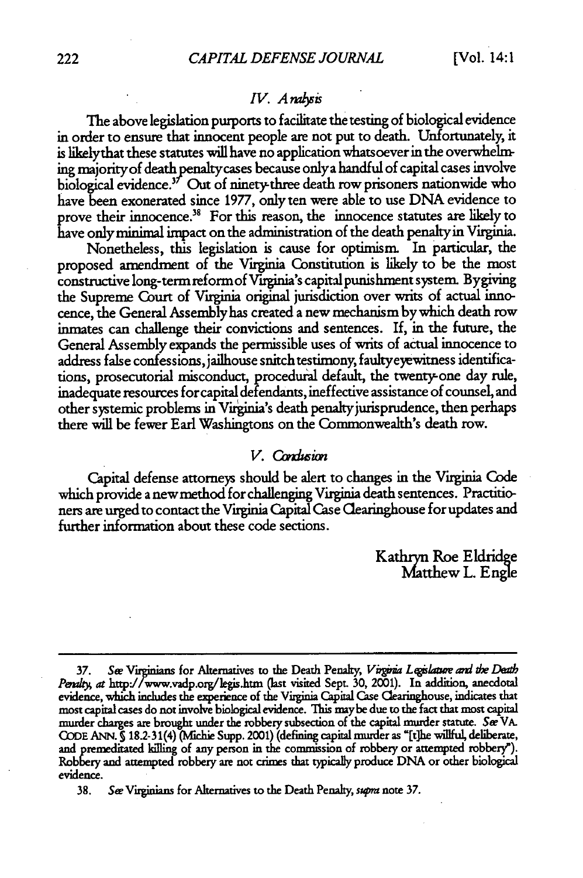#### *IV. A malysis*

The above legislation purports to facilitate the testing of biological evidence in order to ensure that innocent people are not put to death. Unfortunately, it is likelythat these statutes will have no application whatsoever in the overwhelming majority of death penaltycases because only a handful of capital cases involve biological evidence.<sup>37</sup> Out of ninety-three death row prisoners nationwide who have been exonerated since 1977, only ten were able to use DNA evidence to prove their innocence.<sup>38</sup> For this reason, the innocence statutes are likely to have onlyminimal impact on the administration of the death penaltyin Virginia.

Nonetheless, this legislation is cause for optimism. In particular, the proposed amendment of the Virginia Constitution is likely to be the most construcive long-term reformof Virginia's capital punishment system. Bygiving the Supreme Court of Viginia original jurisdiction over writs of actual innocence, the General Assemblyhas created a new mechanism by which death row inmates can challenge their convictions and sentences. If, in the future, the General Assembly expands the permissible uses of writs of actual innocence to address false confessions, jailhouse snitch testimony, faultyeyewitness identifications, prosecutorial misconduct, procedural default, the twenty-one day rule, inadequate resources for capital defendants, ineffective assistance of counsel, and other systemic problems in Virginia's death penatkyjurisprudence, then perhaps there will be fewer Earl Washingtons on the Commonwealth's death row.

#### *V. CbnIGion*

Capital defense attorneys should be alert to changes in the Virginia Code which provide a new method for challenging Virginia death sentences. Practitioners are urged to contact the Virginia Capital Case Clearinghouse for updates and further information about these code sections.

Kathryn Roe Eldridge Matthew L. Engle

<sup>37.</sup> See Virginians for Alternatives to the Death Penalty, *Virginia Legislature and the Death Pevrly at* http'./www.vadp.org/legis.htm (ast visited Sept. **30,** 2001). In addition, anecdotal evidence, which includes the experience of the Virginia Capital Case Clearinghouse, indicates that most capital cases do not involve biological evidence. **This** maybe due to the fact that most capital murder charges are brought under the robbery subsection of the capital murder statute. **Sw VA. CODE ANN. S 182-31(4)** (MVfchie Supp. **2001)** (defining **capital** murder as **"[t]he willful,** deliberate, and prenzditated killing of any person in the commission of robbery or attempted robbery"). Robbery and attempted robbery are not crimes that typically produce **DNA** or other biological evidence.

<sup>38.</sup> *Se* Virginians for Alternatives to the Death Penalty, *sqma* note 37.